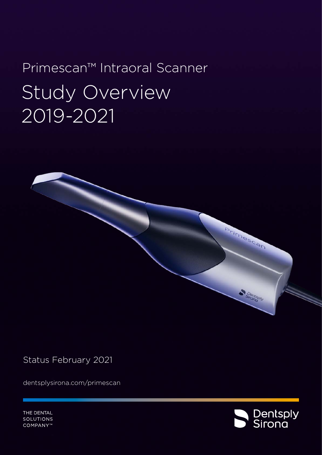# Primescan™ Intraoral Scanner Study Overview 2019-2021

Status February 2021

[dentsplysirona.com/primescan](http://dentsplysirona.com/primescan)

THE DENTAL SOLUTIONS COMPANY™



Arimescan

Sironisply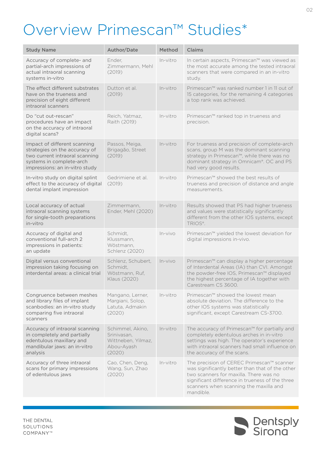# <span id="page-1-0"></span>Overview Primescan™ Studies\*

| <b>Study Name</b>                                                                                                                                             | Author/Date                                                                   | Method    | <b>Claims</b>                                                                                                                                                                                                                                    |
|---------------------------------------------------------------------------------------------------------------------------------------------------------------|-------------------------------------------------------------------------------|-----------|--------------------------------------------------------------------------------------------------------------------------------------------------------------------------------------------------------------------------------------------------|
| Accuracy of complete- and<br>partial-arch impressions of<br>actual intraoral scanning<br>systems in-vitro                                                     | Ender,<br>Zimmermann, Mehl<br>(2019)                                          | In-vitro  | In certain aspects, Primescan™ was viewed as<br>the most accurate among the tested intraoral<br>scanners that were compared in an in-vitro<br>study.                                                                                             |
| The effect different substrates<br>have on the trueness and<br>precision of eight different<br>intraoral scanners                                             | Dutton et al.<br>(2019)                                                       | In-vitro  | Primescan™ was ranked number 1 in 11 out of<br>15 categories, for the remaining 4 categories<br>a top rank was achieved.                                                                                                                         |
| Do "cut out-rescan"<br>procedures have an impact<br>on the accuracy of intraoral<br>digital scans?                                                            | Reich, Yatmaz,<br>Raith (2019)                                                | In-vitro  | Primescan™ ranked top in trueness and<br>precision.                                                                                                                                                                                              |
| Impact of different scanning<br>strategies on the accuracy of<br>two current intraoral scanning<br>systems in complete-arch<br>impressions: an in-vitro study | Passos, Meiga,<br>Brigagão, Street<br>(2019)                                  | In-vitro  | For trueness and precision of complete-arch<br>scans, group M was the dominant scanning<br>strategy in Primescan™, while there was no<br>dominant strategy in Omnicam®. OC and PS<br>had very good results.                                      |
| In-vitro study on digital splint<br>effect to the accuracy of digital<br>dental implant impression                                                            | Gedrimiene et al.<br>(2019)                                                   | In-vitro  | Primescan™ showed the best results of<br>trueness and precision of distance and angle<br>measurements.                                                                                                                                           |
| Local accuracy of actual<br>intraoral scanning systems<br>for single-tooth preparations<br>in-vitro                                                           | Zimmermann,<br>Ender, Mehl (2020)                                             | In-vitro  | Results showed that PS had higher trueness<br>and values were statistically significantly<br>different from the other IOS systems, except<br>TRIOS <sup>®</sup> .                                                                                |
| Accuracy of digital and<br>conventional full-arch 2<br>impressions in patients:<br>an update                                                                  | Schmidt,<br>Klussmann,<br>Wöstmann,<br>Schlenz (2020)                         | $In-vivo$ | Primescan™ yielded the lowest deviation for<br>digital impressions in-vivo.                                                                                                                                                                      |
| Digital versus conventional<br>impression taking focusing on<br>interdental areas: a clinical trial                                                           | Schlenz, Schubert,<br>Schmidt,<br>Wöstmann, Ruf,<br>Klaus (2020)              | $In-vivo$ | Primescan™ can display a higher percentage<br>of Interdental Areas (IA) than CVI. Amongst<br>the powder-free IOS, Primescan™ displayed<br>the highest percentage of IA together with<br>Carestream CS 3600.                                      |
| Congruence between meshes<br>and library files of implant<br>scanbodies: an in-vitro study<br>comparing five intraoral<br>scanners                            | Mangano, Lerner,<br>Margiani, Solop,<br>Latuta, Admakin<br>(2020)             | In-vitro  | Primescan™ showed the lowest mean<br>absolute deviation. The difference to the<br>other IOS systems was statistically<br>significant, except Carestream CS-3700.                                                                                 |
| Accuracy of intraoral scanning<br>in completely and partially<br>edentulous maxillary and<br>mandibular jaws: an in-vitro<br>analysis                         | Schimmel, Akino,<br>Sriniyasan.<br>Wittneben, Yilmaz,<br>Abou-Ayash<br>(2020) | In-vitro  | The accuracy of Primescan™ for partially and<br>completely edentulous arches in in-vitro<br>settings was high. The operator's experience<br>with intraoral scanners had small influence on<br>the accuracy of the scans.                         |
| Accuracy of three intraoral<br>scans for primary impressions<br>of edentulous jaws                                                                            | Cao, Chen, Deng,<br>Wang, Sun, Zhao<br>(2020)                                 | In-vitro  | The precision of CEREC Primescan™ scanner<br>was significantly better than that of the other<br>two scanners for maxilla. There was no<br>significant difference in trueness of the three<br>scanners when scanning the maxilla and<br>mandible. |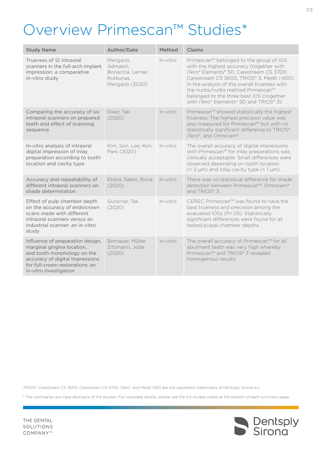# <span id="page-2-0"></span>Overview Primescan™ Studies\*

| <b>Study Name</b>                                                                                                                                                                             | Author/Date                                                              | Method     | <b>Claims</b>                                                                                                                                                                                                                                                                                                                                            |
|-----------------------------------------------------------------------------------------------------------------------------------------------------------------------------------------------|--------------------------------------------------------------------------|------------|----------------------------------------------------------------------------------------------------------------------------------------------------------------------------------------------------------------------------------------------------------------------------------------------------------------------------------------------------------|
| Trueness of 12 intraoral<br>scanners in the full-arch implant<br>impression: a comparative<br>in-vitro study                                                                                  | Mangano,<br>Admakin,<br>Bonacina, Lerner,<br>Rutkunas,<br>Mangano (2020) | In-vitro   | Primescan™ belonged to the group of IOS<br>with the highest accuracy (together with<br>iTero® Elements® 5D, Carestream CS 3700,<br>Carestream CS 3600, TRIOS® 3, Medit i-500)<br>In the analysis of the overall trueness with<br>the nurbs/nurbs method Primescan™<br>belonged to the three best IOS (together<br>with iTero® Elements® 5D and TRIOS® 3) |
| Comparing the accuracy of six<br>intraoral scanners on prepared<br>teeth and effect of scanning<br>sequence                                                                                   | Diker, Tak<br>(2020)                                                     | In-vitro   | Primescan™ showed statistically the highest<br>trueness. The highest precision value was<br>also measured for Primescan™ but with no<br>statistically significant difference to TRIOS®,<br>iTero <sup>®</sup> , and Omnicam®.                                                                                                                            |
| In-vitro analysis of intraoral<br>digital impression of inlay<br>preparation according to tooth<br>location and cavity type                                                                   | Kim, Son, Lee, Kim,<br>Park (2020)                                       | $In-vitro$ | The overall accuracy of digital impressions<br>with Primescan™ for inlay preparations was<br>clinically acceptable. Small differences were<br>observed depending on tooth location<br>$(< 2 \mu m)$ and inlay cavity type $(< 1 \mu m)$ .                                                                                                                |
| Accuracy and repeatability of<br>different intraoral scanners on<br>shade determination                                                                                                       | Ebeid, Sabet, Bona<br>(2020)                                             | $In-vitro$ | There was no statistical difference for shade<br>detection between Primescan™, Omnicam®<br>and TRIOS® 3.                                                                                                                                                                                                                                                 |
| Effect of pulp chamber depth<br>on the accuracy of endocrown<br>scans made with different<br>intraoral scanners versus an<br>industrial scanner: an in-vitro<br>study                         | Gurpinar, Tak<br>(2020)                                                  | $In-vitro$ | CEREC Primescan™ was found to have the<br>best trueness and precision among the<br>evaluated IOSs (P<.05). Statistically<br>significant differences were found for all<br>tested pulpal chamber depths.                                                                                                                                                  |
| Influence of preparation design,<br>marginal gingiva location,<br>and tooth morphology on the<br>accuracy of digital Impressions<br>for full-crown restorations: an<br>in-vitro investigation | Bernauer, Müller,<br>Zitzmann, Joda<br>(2020)                            | In-vitro   | The overall accuracy of Primescan™ for all<br>abutment teeth was very high whereby<br>Primescan™ and TRIOS® 3 revealed<br>homogenous results.                                                                                                                                                                                                            |

TRIOS®, Carestream CS 3600, Carestream CS-3700, iTero®, and Medit i500 are not registered trademarks of Dentsply Sirona Inc.

\* The summaries are mere abstracts of the studies. For complete details, please see the full studies noted at the bottom of each summary page.

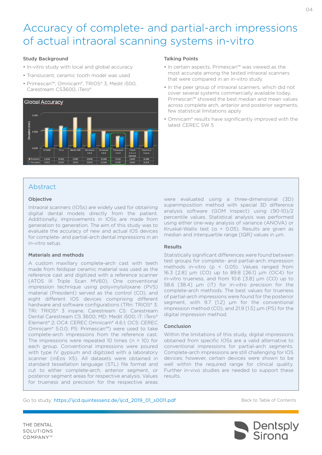# <span id="page-3-0"></span>Accuracy of complete- and partial-arch impressions of actual intraoral scanning systems in-vitro

#### Study Background

- In-vitro study with local and global accuracy
- Translucent, ceramic tooth model was used
- Primescan™, Omnicam®, TRIOS® 3, Medit i500, Carestream CS3600, iTero®



#### Talking Points

- In certain aspects, Primescan™ was viewed as the most accurate among the tested intraoral scanners that were compared in an in-vitro study
- In the peer group of intraoral scanners, which did not cover several systems commercially available today, Primescan™ showed the best median and mean values across complete arch, anterior and posterior segments, few statistical limitations apply
- Omnicam® results have significantly improved with the latest CEREC SW 5

## Abstract

#### Objective

Intraoral scanners (IOSs) are widely used for obtaining digital dental models directly from the patient. Additionally, improvements in IOSs are made from generation to generation. The aim of this study was to evaluate the accuracy of new and actual IOS devices for complete- and partial-arch dental impressions in an in-vitro setup.

#### Materials and methods

A custom maxillary complete-arch cast with teeth made from feldspar ceramic material was used as the reference cast and digitized with a reference scanner (ATOS III Triple Scan MV60). One conventional impression technique using polyvinylsiloxane (PVS) material (President) served as the control (CO), and eight different IOS devices comprising different hardware and software configurations (TRn: TRIOS® 3; TRi: TRIOS® 3 insane; Carestream CS: Carestream Dental Carestream CS 3600; MD: Medit i500; iT: iTero® Element® 2; OC4: CEREC Omnicam® 4.6.1; OC5: CEREC Omnicam® 5.0.0; PS: Primescan™) were used to take complete-arch impressions from the reference cast. The impressions were repeated 10 times  $(n = 10)$  for each group. Conventional impressions were poured with type IV gypsum and digitized with a laboratory scanner (inEos X5). All datasets were obtained in standard tessellation language (STL) file format and cut to either complete-arch, anterior segment, or posterior segment areas for respective analysis. Values for trueness and precision for the respective areas

were evaluated using a three-dimensional (3D) superimposition method with special 3D difference analysis software (GOM Inspect) using (90-10)/2 percentile values. Statistical analysis was performed using either one-way analysis of variance (ANOVA) or Kruskal-Wallis test ( $\alpha$  = 0.05). Results are given as median and interquartile range [IQR] values in µm.

#### Results

Statistically significant differences were found between test groups for complete- and partial-arch impression methods in-vitro (p < 0.05). Values ranged from 16.3 [2.8] µm (CO) up to 89.8 [26.1] µm (OC4) for in-vitro trueness, and from 10.6 [3.8] µm (CO) up to 58.6 [38.4] µm (iT) for in-vitro precision for the complete-arch methods. The best values for trueness of partial-arch impressions were found for the posterior segment, with 9.7 [1.2] µm for the conventional impression method (CO), and 21.9 [1.5] µm (PS) for the digital impression method.

#### Conclusion

Within the limitations of this study, digital impressions obtained from specific IOSs are a valid alternative to conventional impressions for partial-arch segments. Complete-arch impressions are still challenging for IOS devices; however, certain devices were shown to be well within the required range for clinical quality. Further in-vivo studies are needed to support these results.

Go to study: [https://ijcd.quintessenz.de/ijcd\\_2019\\_01\\_s0011.pdf](https://ijcd.quintessenz.de/ijcd_2019_01_s0011.pdf)



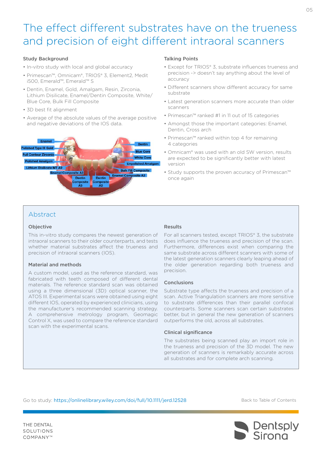# <span id="page-4-0"></span>The effect different substrates have on the trueness and precision of eight different intraoral scanners

#### Study Background

- In-vitro study with local and global accuracy
- Primescan™, Omnicam®, TRIOS® 3, Element2, Medit i500, Emerald™, Emerald™ S
- Dentin, Enamel, Gold, Amalgam, Resin, Zirconia, Lithium Disilicate, Enamel/Dentin Composite, White/ Blue Core, Bulk Fill Composite
- 3D best fit alignment
- Average of the absolute values of the average positive and negative deviations of the IOS data.



#### Talking Points

- Except for TRIOS® 3, substrate influences trueness and precision -> doesn't say anything about the level of accuracy
- Different scanners show different accuracy for same substrate
- Latest generation scanners more accurate than older scanners
- Primescan™ ranked #1 in 11 out of 15 categories
- Amongst those the important categories: Enamel, Dentin, Cross arch
- Primescan™ ranked within top 4 for remaining 4 categories
- Omnicam® was used with an old SW version, results are expected to be significantly better with latest version
- Study supports the proven accuracy of Primescan™ once again

## Abstract

#### Objective

This in-vitro study compares the newest generation of intraoral scanners to their older counterparts, and tests whether material substrates affect the trueness and precision of intraoral scanners (IOS).

#### Material and methods

A custom model, used as the reference standard, was fabricated with teeth composed of different dental materials. The reference standard scan was obtained using a three dimensional (3D) optical scanner, the ATOS III. Experimental scans were obtained using eight different IOS, operated by experienced clinicians, using the manufacturer's recommended scanning strategy. A comprehensive metrology program, Geomagic Control X, was used to compare the reference standard scan with the experimental scans.

### Results

For all scanners tested, except TRIOS® 3, the substrate does influence the trueness and precision of the scan. Furthermore, differences exist when comparing the same substrate across different scanners with some of the latest generation scanners clearly leaping ahead of the older generation regarding both trueness and precision.

#### Conclusions

Substrate type affects the trueness and precision of a scan. Active Triangulation scanners are more sensitive to substrate differences than their parallel confocal counterparts. Some scanners scan certain substrates better, but in general the new generation of scanners outperforms the old, across all substrates.

#### Clinical significance

The substrates being scanned play an import role in the trueness and precision of the 3D model. The new generation of scanners is remarkably accurate across all substrates and for complete arch scanning.

Go to study: <https://onlinelibrary.wiley.com/doi/full/10.1111/jerd.12528>

[Back to Table of Contents](#page-1-0)



 $\cap$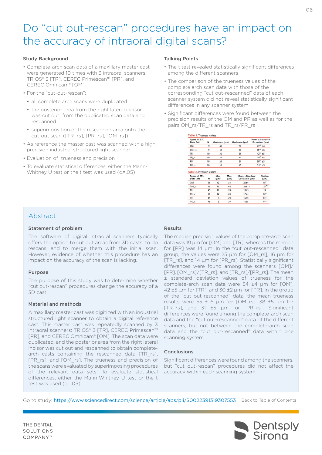# <span id="page-5-0"></span>Do "cut out-rescan" procedures have an impact on the accuracy of intraoral digital scans?

#### Study Background

- Complete-arch scan data of a maxillary master cast were generated 10 times with 3 intraoral scanners: TRIOS® 3 [TR], CEREC Primescan™ [PR], and CEREC Omnicam® [OM].
- For the "cut-out-rescan":
	- all complete arch scans were duplicated
	- the posterior area from the right lateral incisor was cut out from the duplicated scan data and rescanned
	- superimposition of the rescanned area onto the cut-out scan ([TR\_rs], [PR\_rs], [OM\_rs])
- As reference the master cast was scanned with a high precision industrial structured light scanner
- Evaluation of trueness and precision
- To evaluate statistical differences, either the Mann-Whitney U test or the t test was used (α=.05)

#### Talking Points

- The t test revealed statistically significant differences among the different scanners
- The comparison of the trueness values of the complete arch scan data with those of the corresponding "cut out-rescanned" data of each scanner system did not reveal statistically significant differences in any scanner system
- Significant differences were found between the precision results of the OM and PR as well as for the pairs OM\_rs/TR\_rs and TR\_rs/PR\_rs

| Types of STL<br>Data Sets                                     | N  | Minimum (um)      |                   | Maximum (um)                     | Mean ± Standard<br>Deviation (um) |
|---------------------------------------------------------------|----|-------------------|-------------------|----------------------------------|-----------------------------------|
| <b>OM</b>                                                     | 9  | 48                |                   | 59                               | $53^{ab}$ $\pm 4$                 |
| OM rs                                                         | a  | 48                |                   | 69                               | $55$ <sup>de</sup> $±6$           |
| <b>TR</b>                                                     | 10 | 36                |                   | 51                               | $42^{30} + 5$                     |
| TR <sub>rs</sub>                                              | 10 | 31                |                   | 46                               | $38df + 5$                        |
| PR                                                            | 10 | 26                |                   | 34                               | $29^{bc} + 3$                     |
| PR rs                                                         | 10 | 26                |                   | 40                               | $31^{47} + 5$                     |
|                                                               |    |                   |                   |                                  |                                   |
| Table 2. Precision values<br><b>Types of STL</b><br>Data Sets | N  | Min.<br>$(\mu m)$ | Max.<br>$(\mu m)$ | Mean +Standard<br>Deviation (um) | Median<br>$(\mu m)$               |
| OM                                                            | 36 | 12                | 31                | $20 + 4$                         | 19 <sup>o</sup>                   |
|                                                               | 36 | 16                | 63                | $28 + 11$                        | 25 <sup>de</sup>                  |
| OM rs<br><b>TR</b>                                            | 45 | 12                | 24                | $18 + 3$                         | 19                                |
|                                                               | 45 | 12                | 28                | $17 + 4$                         | 16 <sup>d</sup>                   |
| TR <sub>rs</sub><br>PR                                        | 45 | $8^{\circ}$       | 29                | $15 + 5$                         | 14 <sup>h</sup>                   |

### Abstract

#### Statement of problem

The software of digital intraoral scanners typically offers the option to cut out areas from 3D casts, to do rescans, and to merge them with the initial scan. However, evidence of whether this procedure has an impact on the accuracy of the scan is lacking.

#### Purpose

The purpose of this study was to determine whether "cut out-rescan" procedures change the accuracy of a 3D cast.

#### Material and methods

A maxillary master cast was digitized with an industrial structured light scanner to obtain a digital reference cast. This master cast was repeatedly scanned by 3 intraoral scanners: TRIOS® 3 [TR], CEREC Primescan™ [PR], and CEREC Omnicam® [OM]. The scan data were duplicated, and the posterior area from the right lateral incisor was cut out and rescanned to obtain completearch casts containing the rescanned data [TR\_rs], [PR\_rs], and [OM\_rs]. The trueness and precision of the scans were evaluated by superimposing procedures of the relevant data sets. To evaluate statistical differences, either the Mann-Whitney U test or the t test was used (α=.05).

#### Results

The median precision values of the complete-arch scan data was 19 μm for [OM] and [TR], whereas the median for [PR] was 14 μm. In the "cut out-rescanned" data group, the values were 25 μm for [OM\_rs], 16 μm for [TR\_rs], and 14 μm for [PR\_rs]. Statistically significant differences were found among the scanners [OM]/ [PR], [OM\_rs]/[TR\_rs], and [TR\_rs]/[PR\_rs]. The mean ± standard deviation values of trueness for the complete-arch scan data were 54 ±4 μm for [OM],  $42 \pm 5$  μm for [TR], and 30  $\pm 2$  μm for [PR]. In the group of the "cut out-rescanned" data, the mean trueness results were  $55 \pm 6$  μm for [OM\_rs], 38  $\pm 5$  μm for [TR\_rs], and 31  $\pm$ 5  $\mu$ m for [PR\_rs]. Significant differences were found among the complete-arch scan data and the "cut out-rescanned" data of the different scanners, but not between the complete-arch scan data and the "cut out-rescanned" data within one scanning system.

#### Conclusions

Significant differences were found among the scanners, but "cut out-rescan" procedures did not affect the accuracy within each scanning system.

Go to study: https://www.sciencedirect.com/science/article/abs/pii/S0022391319307553 [Back to Table of Contents](#page-1-0)

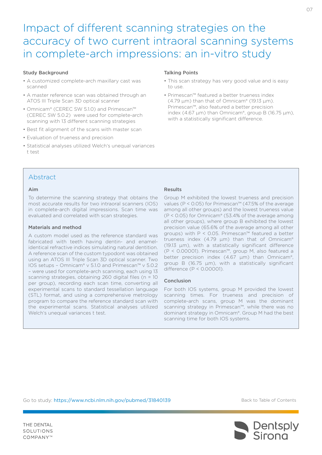# <span id="page-6-0"></span>Impact of different scanning strategies on the accuracy of two current intraoral scanning systems in complete-arch impressions: an in-vitro study

#### Study Background

- A customized complete-arch maxillary cast was scanned
- A master reference scan was obtained through an ATOS III Triple Scan 3D optical scanner
- Omnicam® (CEREC SW 5.1.0) and Primescan™ (CEREC SW 5.0.2) were used for complete-arch scanning with 13 different scanning strategies
- Best fit alignment of the scans with master scan
- Evaluation of trueness and precision
- Statistical analyses utilized Welch's unequal variances t test

#### Talking Points

- This scan strategy has very good value and is easy to use.
- Primescan™ featured a better trueness index  $(4.79 \,\mu m)$  than that of Omnicam® (19.13  $\mu$ m). Primescan™, also featured a better precision index (4.67  $\mu$ m) than Omnicam®, group B (16.75  $\mu$ m), with a statistically significant difference.

### Abstract

#### Aim

To determine the scanning strategy that obtains the most accurate results for two intraoral scanners (IOS) in complete-arch digital impressions. Scan time was evaluated and correlated with scan strategies.

#### Materials and method

A custom model used as the reference standard was fabricated with teeth having dentin- and enamelidentical refractive indices simulating natural dentition. A reference scan of the custom typodont was obtained using an ATOS III Triple Scan 3D optical scanner. Two IOS setups – Omnicam® v 5.1.0 and Primescan™ v 5.0.2 – were used for complete-arch scanning, each using 13 scanning strategies, obtaining 260 digital files (n = 10 per group), recording each scan time, converting all experimental scans to standard tessellation language (STL) format, and using a comprehensive metrology program to compare the reference standard scan with the experimental scans. Statistical analyses utilized Welch's unequal variances t test.

#### Results

Group M exhibited the lowest trueness and precision values (P < 0.05) for Primescan™ (47.5% of the average among all other groups) and the lowest trueness value (P < 0.05) for Omnicam® (53.4% of the average among all other groups), where group B exhibited the lowest precision value (65.6% of the average among all other groups) with P < 0.05. Primescan™ featured a better trueness index (4.79  $\mu$ m) than that of Omnicam® (19.13 µm), with a statistically significant difference (P < 0.00001). Primescan™, group M, also featured a better precision index (4.67 µm) than Omnicam®, group B (16.75 µm), with a statistically significant difference (P < 0.00001).

#### Conclusion

For both IOS systems, group M provided the lowest scanning times. For trueness and precision of complete-arch scans, group M was the dominant scanning strategy in Primescan™, while there was no dominant strategy in Omnicam®. Group M had the best scanning time for both IOS systems.

Go to study: <https://www.ncbi.nlm.nih.gov/pubmed/31840139>

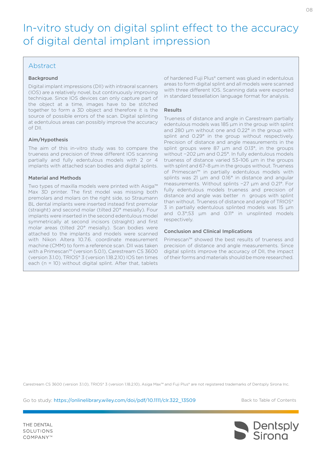# <span id="page-7-0"></span>In-vitro study on digital splint effect to the accuracy of digital dental implant impression

### Abstract

#### Background

Digital implant impressions (DII) with intraoral scanners (IOS) are a relatively novel, but continuously improving technique. Since IOS devices can only capture part of the object at a time, images have to be stitched together to form a 3D object and therefore it is the source of possible errors of the scan. Digital splinting at edentulous areas can possibly improve the accuracy of DII.

#### Aim/Hypothesis

The aim of this in-vitro study was to compare the trueness and precision of three different IOS scanning partially and fully edentulous models with 2 or 4 implants with attached scan bodies and digital splints.

#### Material and Methods

Two types of maxilla models were printed with Asiga™ Max 3D printer. The first model was missing both premolars and molars on the right side, so Straumann BL dental implants were inserted instead first premolar (straight) and second molar (tilted 20° mesially). Four implants were inserted in the second edentulous model symmetrically at second incisors (straight) and first molar areas (tilted 20° mesially). Scan bodies were attached to the implants and models were scanned with Nikon Altera 10.7.6. coordinate measurement machine (CMM) to form a reference scan. DII was taken with a Primescan™ (version 5.0.1), Carestream CS 3600 (version 3.1.0), TRIOS® 3 (version 1.18.2.10) IOS ten times each (n = 10) without digital splint. After that, tablets

of hardened Fuji Plus® cement was glued in edentulous areas to form digital splint and all models were scanned with three different IOS. Scanning data were exported in standard tessellation language format for analysis.

#### Results

Trueness of distance and angle in Carestream partially edentulous models was 185 μm in the group with splint and 280 μm without one and 0.22° in the group with splint and 0.29° in the group without respectively. Precision of distance and angle measurements in the splint groups were 87 μm and 0.13°, in the groups without −202 μm and 0.25°. In fully edentulous models trueness of distance varied 53–106 μm in the groups with splint and 67–8 μm in the groups without. Trueness of Primescan™ in partially edentulous models with splints was 21 μm and 0.16° in distance and angular measurements. Without splints −27 μm and 0.21°. For fully edentulous models trueness and precision of distance and angle was better n groups with splint than without. Trueness of distance and angle of TRIOS® 3 in partially edentulous splinted models was 15 μm and 0.3°;53 μm and 0.11° in unsplinted models respectively.

#### Conclusion and Clinical Implications

Primescan™ showed the best results of trueness and precision of distance and angle measurements. Since digital splints improve the accuracy of DII, the impact of their forms and materials should be more researched.

Carestream CS 3600 (version 3.1.0), TRIOS® 3 (version 1.18.2.10), Asiga Max™ and Fuji Plus® are not registered trademarks of Dentsply Sirona Inc.

Go to study: [https://onlinelibrary.wiley.com/doi/pdf/10.1111/clr.322\\_13509](https://onlinelibrary.wiley.com/doi/pdf/10.1111/clr.322_13509)

[Back to Table of Contents](#page-1-0)

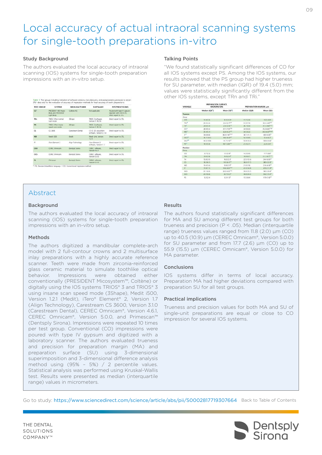# <span id="page-8-0"></span>Local accuracy of actual intraoral scanning systems for single-tooth preparations in-vitro

#### Study Background

The authors evaluated the local accuracy of intraoral scanning (IOS) systems for single-tooth preparation impressions with an in-vitro setup.

| <b>TEST GROUP</b> | <b>SYSTEM</b>                                                 | MANUFACTURER            | <b>SOFTWARE</b>                                | <b>POSTPROCESSING</b>                                                            |
|-------------------|---------------------------------------------------------------|-------------------------|------------------------------------------------|----------------------------------------------------------------------------------|
| CO <sup>3</sup>   | PRESIDENT 360 Heavy<br><b>Body and PRESDENT</b><br>Linha Book | Cobine AG               | Not applicable                                 | Poured with type IV gypsum.<br>digitized with inEOS XS.<br>drect export to \$71. |
| TR <sub>1</sub>   | TRIOS 3 Pod normal<br>scan mode                               | 19hane                  | TROS 3 software.<br>Version 1.18.2 6           | Direct export to STL                                                             |
| TR1               | TRIOS 3 Pod insane<br>speed scan mode                         | 35hape                  | TROS 3 software.<br>Vertion 1.18.2.6           | Drect export to STL                                                              |
| CS.               | CS 3600                                                       | Careswam Dental         | CS10 3D acquisition<br>software, Version 3.1.0 | Direct export to STL                                                             |
| MO                | Medit 500                                                     | Medit                   | Medit Link, Version<br>12.1                    | Drect export to STL                                                              |
| IT.               | iTero Element 2                                               | Alian Technology        | (Tera Element 2)<br>software, Version 1.7      | Drect export to STL                                                              |
| OCA               | <b>CEREC Omnom</b>                                            | <b>Dentroly Sirona</b>  | CIREC software.<br>Version 4.6.1               | Drect export to STL                                                              |
| OCS:              | CEREC Omnicam                                                 | Dentsolv Sirona         | CEREC software.<br>Version 5.0.0               | Direct export to STL                                                             |
| PS.               | <b>Primescan</b>                                              | <b>Dentsolv Secrial</b> | CEREC software.<br>Version 5.0.0               | Direct export to STL                                                             |

# Abstract

#### **Background**

The authors evaluated the local accuracy of intraoral scanning (IOS) systems for single-tooth preparation impressions with an in-vitro setup.

#### Methods

The authors digitized a mandibular complete-arch model with 2 full-contour crowns and 2 multisurface inlay preparations with a highly accurate reference scanner. Teeth were made from zirconia-reinforced glass ceramic material to simulate toothlike optical behavior. Impressions were obtained either conventionally (PRESIDENT Micosystem™, Coltène) or digitally using the IOS systems TRIOS® 3 and TRIOS® 3 using insane scan speed mode (3Shape), Medit i500, Version 1.2.1 (Medit), iTero® Element® 2, Version 1.7 (Align Technology), Carestream CS 3600, Version 3.1.0 (Carestream Dental), CEREC Omnicam®, Version 4.6.1, CEREC Omnicam®, Version 5.0.0, and Primescan™ (Dentsply Sirona). Impressions were repeated 10 times per test group. Conventional (CO) impressions were poured with type IV gypsum and digitized with a laboratory scanner. The authors evaluated trueness and precision for preparation margin (MA) and preparation surface (SU) using 3-dimensional superimposition and 3-dimensional difference analysis method using (95% – 5%) / 2 percentile values. Statistical analysis was performed using Kruskal-Wallis test. Results were presented as median (interquartile range) values in micrometers.

#### Talking Points

"We found statistically significant differences of CO for all IOS systems except PS. Among the IOS systems, our results showed that the PS group had higher trueness for SU parameter, with median (IQR) of 19.4 (5.0) mm; values were statistically significantly different from the other IOS systems, except TRn and TRi."

| VARIABLE            | PREPARATION SURFACE.<br><b>MICROMETERS</b> |                            | PREPARATION MARGIN, um |                             |
|---------------------|--------------------------------------------|----------------------------|------------------------|-----------------------------|
|                     | Median (IOR')                              | Mean (SD <sup>1</sup> )    | Median (IOR)           | Mean (SD)                   |
| Trueness            |                                            |                            |                        |                             |
| Group               |                                            |                            |                        |                             |
| CO <sup>T</sup>     | 11.8 (2.0)                                 | 12.2 (2.3)4                | 17.7 (2.6)             | 18.2 (3.0) <sup>4</sup>     |
| TAN <sup>4</sup>    | 33.3(4.2)                                  | 22-6 (2.7 $^{2.6}$         | 31.9 (7.0)             | 32.0 (4.8) <sup>8.47</sup>  |
| $Tn^*$              | 23.6(5.4)                                  | 23600 <sup>4</sup>         | 30.7 (6.0)             | 31.5 (4.6/h/A               |
| COM                 | 28.9 (9.4)                                 | 31.1 (7.97%)               | 34.9 (8.4)             | 35.8.06.025.84              |
| MD <sup>2</sup>     | 31.4 (5.1)                                 | 320G3 <sup>45</sup>        | 34.5 (6.2)             | 34.6 (4.3) <sup>46.47</sup> |
| $\pi^{**}$          | 34.6 (8.6)                                 | 36.3 (7.8) <sup>(3/3</sup> | 38.1 (11.1)            | 40.0 (6.9/ <sup>17</sup>    |
| $OC4$ <sup>11</sup> | 36.7 (10.1)                                | 36.6 (6.4) <sup>(1)</sup>  | 54.3 (9.0)             | 53.4 lb 27                  |
| OCS <sup>TT</sup>   | 40.5 (10.9)                                | 41.7 (7.0 <sup>8)</sup>    | 55.9(15.5)             | 58.0110.67                  |
| pe <sup>er</sup>    | 19.4 (5.0)                                 | 18.7 (2.8) <sup>43/1</sup> | 21.4(2.7)              | 22.4 (2.4)*                 |
| Precision           |                                            |                            |                        |                             |
| Group               |                                            |                            |                        |                             |
| co.                 | 8.7 (2.2)                                  | <b>450.9</b>               | 14.3 (9.0)             | 17.7 (8.87)                 |
| Tiên                | 13.6 (1.3)                                 | 14.0 (2.4)*                | 18.9 (8.7)             | 21.2 微学师                    |
| Tri                 | 15.8 (3-5)                                 | 16.0 (2.3)                 | 22 5 (12.4)            | 24.4 (6.97 <sup>(4)</sup>   |
| <b>CS</b>           | 18.3 张 2)                                  | 19.5 (6.11 <sup>42)</sup>  | 38.0 (17.7)            | 38.5 (12.0)                 |
| MD                  | 13.4 (3.4)                                 | 13 6 (2.5) <sup>8</sup>    | 21.0 (7.6)             | 216 域 97 <sup>6</sup>       |
| $ \mathsf{T} $      | 17.8 (7.7)                                 | 19.6 (8.0) <sup>-8.4</sup> | 47.0114.91             | $47.6$ (11.3) <sup>8</sup>  |
| OCA                 | 21.1.85.01                                 | 20.3 (4.0 <sup>m.hs)</sup> | 39.0135.71             | 38.5 (10.6)                 |
| $_{\rm occ}$        | 23.9 证股                                    | 24.7 (5.3) <sup>9</sup>    | 48.8 (24.4)            | 50.2 (15.4) <sup>8</sup>    |
| PS                  | 83(2.4)                                    | 83(1.5)*                   | 15.5 (8.4)             | 17.9 (7.6) <sup>e.h.</sup>  |

#### Results

The authors found statistically significant differences for MA and SU among different test groups for both trueness and precision (P < .05). Median (interquartile range) trueness values ranged from 11.8 (2.0) μm (CO) up to 40.5 (10.9) μm (CEREC Omnicam®, Version 5.0.0) for SU parameter and from 17.7 (2.6) μm (CO) up to 55.9 (15.5) μm (CEREC Omnicam®, Version 5.0.0) for MA parameter.

#### Conclusions

IOS systems differ in terms of local accuracy. Preparation MA had higher deviations compared with preparation SU for all test groups.

#### Practical implications

Trueness and precision values for both MA and SU of single-unit preparations are equal or close to CO impression for several IOS systems.

Go to study: https://www.sciencedirect.com/science/article/abs/pii/S0002817719307664 [Back to Table of Contents](#page-1-0)



 $\bigcap$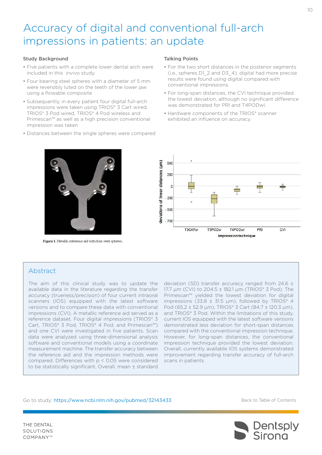# <span id="page-9-0"></span>Accuracy of digital and conventional full-arch impressions in patients: an update

#### Study Background

- Five patients with a complete lower dental arch were included in this invivo study.
- Four bearing steel spheres with a diameter of 5 mm were reversibly luted on the teeth of the lower jaw using a flowable composite
- Subsequently, in every patient four digital full-arch impressions were taken using TRIOS® 3 Cart wired, TRIOS® 3 Pod wired, TRIOS® 4 Pod wireless and Primescan™ as well as a high precision conventional impression was taken
- Distances between the single spheres were compared

Figure 1. Metallic reference aid with four steel spheres.

#### Talking Points

- For the two short distances in the posterior segments (i.e., spheres D1\_2 and D3\_4), digital had more precise results were found using digital compared with conventional impressions.
- For long-span distances, the CVI technique provided the lowest deviation, although no significant difference was demonstrated for PRI and T4PODwl.
- Hardware components of the TRIOS® scanner exhibited an influence on accuracy.



### Abstract

The aim of this clinical study was to update the available data in the literature regarding the transfer accuracy (trueness/precision) of four current intraoral scanners (IOS) equipped with the latest software versions and to compare these data with conventional impressions (CVI). A metallic reference aid served as a reference dataset. Four digital impressions (TRIOS® 3 Cart, TRIOS® 3 Pod, TRIOS® 4 Pod, and Primescan™) and one CVI were investigated in five patients. Scan data were analyzed using three-dimensional analysis software and conventional models using a coordinate measurement machine. The transfer accuracy between the reference aid and the impression methods were compared. Differences with  $p < 0.05$  were considered to be statistically significant. Overall, mean ± standard

deviation (SD) transfer accuracy ranged from 24.6 ± 17.7 µm (CVI) to 204.5 ± 182.1 µm (TRIOS® 3 Pod). The Primescan™ yielded the lowest deviation for digital impressions (33.8  $\pm$  31.5 µm), followed by TRIOS® 4 Pod (65.2 ± 52.9 µm), TRIOS® 3 Cart (84.7 ± 120.3 µm), and TRIOS® 3 Pod. Within the limitations of this study, current IOS equipped with the latest software versions demonstrated less deviation for short-span distances compared with the conventional impression technique. However, for long-span distances, the conventional impression technique provided the lowest deviation. Overall, currently available IOS systems demonstrated improvement regarding transfer accuracy of full-arch scans in patients.

#### Go to study: <https://www.ncbi.nlm.nih.gov/pubmed/32143433>

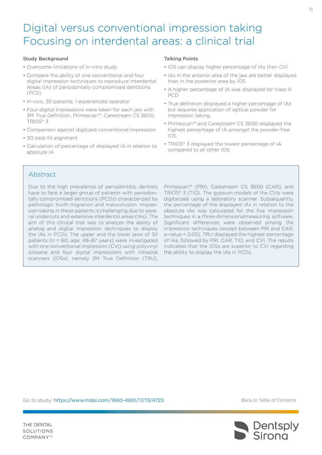# <span id="page-10-0"></span>Digital versus conventional impression taking Focusing on interdental areas: a clinical trial

#### Study Background

- Overcome limitations of in-vitro study
- Compare the ability of one conventional and four digital impression techniques to reproduce Interdental Areas (IA) of periodontally compromised dentitions (PCD)
- In-vivo, 30 patients, 1 experienced operator
- Four digital impressions were taken for each jaw with 3M True Definition, Primescan™, Carestream CS 3600, TRIOS® 3
- Comparison against digitized conventional impression
- 3D best-fit alignment
- Calculation of percentage of displayed IA in relation to absolute IA

#### Talking Points

- IOS can display higher percentage of IAs then CVI
- IAs in the anterior area of the jaw are better displayed than in the posterior area by IOS
- A higher percentage of IA was displayed for class III PCD
- True definition displayed a higher percentage of IAs but requires application of optical powder for impression taking
- Primescan™ and Carestream CS 3600 displayed the highest percentage of IA amongst the powder-free IOS
- TRIOS® 3 displayed the lowest percentage of IA compared to all other IOS

### Abstract

THE DENTAL SOLUTIONS COMPANY™

Due to the high prevalence of periodontitis, dentists have to face a larger group of patients with periodontally compromised dentitions (PCDs) characterized by pathologic tooth migration and malocclusion. Impression taking in these patients is challenging due to several undercuts and extensive interdental areas (IAs). The aim of this clinical trial was to analyze the ability of analog and digital impression techniques to display the IAs in PCDs. The upper and the lower jaws of 30 patients (n = 60, age: 48–87 years) were investigated with one conventional impression (CVI) using polyvinyl siloxane and four digital impressions with intraoral scanners (IOSs), namely 3M True Definition (TRU),

Primescan™ (PRI), Carestream CS 3600 (CAR), and TRIOS® 3 (TIO). The gypsum models of the CVIs were digitalized using a laboratory scanner. Subsequently, the percentage of the displayed IAs in relation to the absolute IAs was calculated for the five impression techniques in a three-dimensionalmeasuring software. Significant differences were observed among the impression techniques (except between PRI and CAR, p-value < 0.05). TRU displayed the highest percentage of IAs, followed by PRI, CAR, TIO, and CVI. The results indicated that the IOSs are superior to CVI regarding the ability to display the IAs in PCDs.

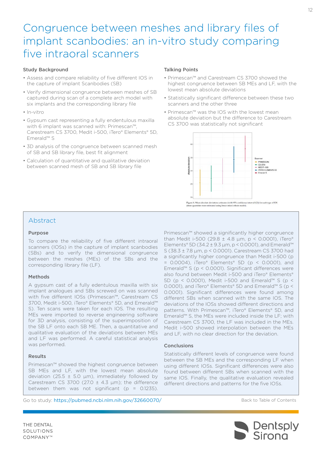# <span id="page-11-0"></span>Congruence between meshes and library files of implant scanbodies: an in-vitro study comparing five intraoral scanners

#### Study Background

- Assess and compare reliability of five different IOS in the capture of implant Scanbodies (SB)
- Verify dimensional congruence between meshes of SB captured during scan of a complete arch model with six implants and the corresponding library file
- In-vitro
- Gypsum cast representing a fully endentulous maxilla with 6 implant was scanned with: Primescan™, Carestream CS 3700, Medit i-500, iTero® Elements® 5D, Emerald™ S
- 3D analysis of the congruence between scanned mesh of SB and SB library file, best fit alignment
- Calculation of quantitative and qualitative deviation between scanned mesh of SB and SB library file

#### Talking Points

- Primescan™ and Carestream CS 3700 showed the highest congruence between SB MEs and LF, with the lowest mean absolute deviations
- Statistically significant difference between these two scanners and the other three
- Primescan™ was the IOS with the lowest mean absolute deviation but the difference to Carestream CS 3700 was statistically not significant



### Abstract

#### Purpose

To compare the reliability of five different intraoral scanners (IOSs) in the capture of implant scanbodies (SBs) and to verify the dimensional congruence between the meshes (MEs) of the SBs and the corresponding library file (LF).

#### Methods

A gypsum cast of a fully edentulous maxilla with six implant analogues and SBs screwed on was scanned with five different IOSs (Primescan™, Carestream CS 3700, Medit i-500, iTero® Elements® 5D, and Emerald™ S). Ten scans were taken for each IOS. The resulting MEs were imported to reverse engineering software for 3D analysis, consisting of the superimposition of the SB LF onto each SB ME. Then, a quantitative and qualitative evaluation of the deviations between MEs and LF was performed. A careful statistical analysis was performed.

#### Results

Primescan™ showed the highest congruence between SB MEs and LF, with the lowest mean absolute deviation (25.5  $\pm$  5.0 µm), immediately followed by Carestream CS 3700 (27.0  $\pm$  4.3  $\mu$ m); the difference between them was not significant ( $p = 0.1235$ ).

Primescan™ showed a significantly higher congruence than Medit i-500 (29.8  $\pm$  4.8 µm, p < 0.0001), iTero® Elements® 5D (34.2 ± 9.3  $\mu$ m, p < 0.0001), and Emerald™ S (38.3 ± 7.8 μm, p < 0.0001). Carestream CS 3700 had a significantly higher congruence than Medit i-500 (p  $= 0.0004$ ), iTero® Elements® 5D (p < 0.0001), and Emerald™ S (p < 0.0001). Significant differences were also found between Medit i-500 and iTero® Elements® 5D (p < 0.0001), Medit i-500 and Emerald™ S (p < 0.0001), and iTero® Elements® 5D and Emerald™ S (p < 0.0001). Significant differences were found among different SBs when scanned with the same IOS. The deviations of the IOSs showed different directions and patterns. With Primescan™, iTero® Elements® 5D, and Emerald™ S, the MEs were included inside the LF; with Carestream CS 3700, the LF was included in the MEs. Medit i-500 showed interpolation between the MEs and LF, with no clear direction for the deviation.

#### Conclusions

Statistically different levels of congruence were found between the SB MEs and the corresponding LF when using different IOSs. Significant differences were also found between different SBs when scanned with the same IOS. Finally, the qualitative evaluation revealed different directions and patterns for the five IOSs.

Go to study: <https://pubmed.ncbi.nlm.nih.gov/32660070/>

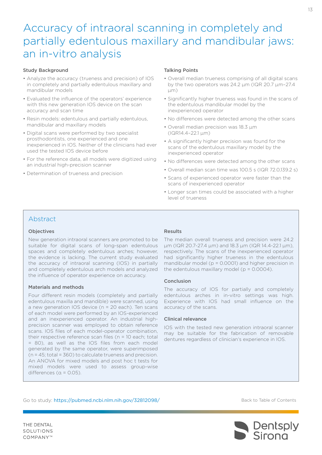# <span id="page-12-0"></span>Accuracy of intraoral scanning in completely and partially edentulous maxillary and mandibular jaws: an in-vitro analysis

#### Study Background

- Analyze the accuracy (trueness and precision) of IOS in completely and partially edentulous maxillary and mandibular models
- Evaluated the influence of the operators' experience with this new generation IOS device on the scan accuracy and scan time
- Resin models: edentulous and partially edentulous, mandibular and maxillary models
- Digital scans were performed by two specialist prosthodontists, one experienced and one inexperienced in IOS. Neither of the clinicians had ever used the tested IOS device before
- For the reference data, all models were digitized using an industrial high-precision scanner
- Determination of trueness and precision

#### Talking Points

- Overall median trueness comprising of all digital scans by the two operators was 24.2 μm (IQR 20.7 μm–27.4 μm)
- Significantly higher trueness was found in the scans of the edentulous mandibular model by the inexperienced operator
- No differences were detected among the other scans
- Overall median precision was 18.3 μm (IQR14.4–22.1 μm)
- A significantly higher precision was found for the scans of the edentulous maxillary model by the inexperienced operator
- No differences were detected among the other scans
- Overall median scan time was 100.5 s (IQR 72.0,139.2 s)
- Scans of experienced operator were faster than the scans of inexperienced operator
- Longer scan times could be associated with a higher level of trueness

### Abstract

#### Objectives

New generation intraoral scanners are promoted to be suitable for digital scans of long-span edentulous spaces and completely edentulous arches; however, the evidence is lacking. The current study evaluated the accuracy of intraoral scanning (IOS) in partially and completely edentulous arch models and analyzed the influence of operator experience on accuracy.

#### Materials and methods

Four different resin models (completely and partially edentulous maxilla and mandible) were scanned, using a new generation IOS device (n = 20 each). Ten scans of each model were performed by an IOS-experienced and an inexperienced operator. An industrial highprecision scanner was employed to obtain reference scans. IOS files of each model-operator combination, their respective reference scan files (n = 10 each; total = 80), as well as the IOS files from each model generated by the same operator, were superimposed (n = 45; total = 360) to calculate trueness and precision. An ANOVA for mixed models and post hoc t tests for mixed models were used to assess group-wise differences ( $\alpha$  = 0.05).

#### Results

The median overall trueness and precision were 24.2 μm (IQR 20.7-27.4 μm) and 18.3 μm (IQR 14.4-22.1 μm), respectively. The scans of the inexperienced operator had significantly higher trueness in the edentulous mandibular model (p = 0.0001) and higher precision in the edentulous maxillary model ( $p = 0.0004$ ).

#### Conclusion

The accuracy of IOS for partially and completely edentulous arches in in-vitro settings was high. Experience with IOS had small influence on the accuracy of the scans.

#### Clinical relevance

IOS with the tested new generation intraoral scanner may be suitable for the fabrication of removable dentures regardless of clinician's experience in IOS.

Go to study: <https://pubmed.ncbi.nlm.nih.gov/32812098/>

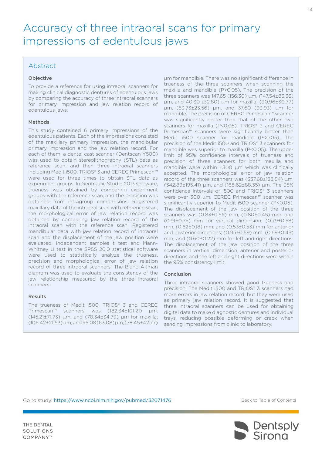# <span id="page-13-0"></span>Accuracy of three intraoral scans for primary impressions of edentulous jaws

### Abstract

### Objective

To provide a reference for using intraoral scanners for making clinical diagnostic dentures of edentulous jaws by comparing the accuracy of three intraoral scanners for primary impression and jaw relation record of edentulous jaws.

#### Methods

This study contained 6 primary impressions of the edentulous patients. Each of the impressions consisted of the maxillary primary impression, the mandibular primary impression and the jaw relation record. For each of them, a dental cast scanner (Dentscan Y500) was used to obtain stereolithography (STL) data as reference scan, and then three intraoral scanners including Medit i500, TRIOS® 3 and CEREC Primescan™ were used for three times to obtain STL data as experiment groups. In Geomagic Studio 2013 software, trueness was obtained by comparing experiment groups with the reference scan, and the precision was obtained from intragroup comparisons. Registered maxillary data of the intraoral scan with reference scan, the morphological error of jaw relation record was obtained by comparing jaw relation record of the intraoral scan with the reference scan. Registered mandibular data with jaw relation record of intraoral scan and the displacement of the jaw position were evaluated. Independent samples t test and Mann-Whitney U test in the SPSS 20.0 statistical software were used to statistically analyze the trueness, precision and morphological error of jaw relation record of three intraoral scanners. The Bland-Altman diagram was used to evaluate the consistency of the jaw relationship measured by the three intraoral scanners.

### Results

The trueness of Medit i500, TRIOS® 3 and CEREC Primescan™ scanners was (182.34±101.21) μm, (145.21±71.73) μm, and (78.34±34.79) μm for maxilla; (106.42±21.63) μm, and 95.08 (63.08) μm, (78.45±42.77)

μm for mandible. There was no significant difference in trueness of the three scanners when scanning the maxilla and mandible (P>0.05). The precision of the three scanners was 147.65 (156.30) μm, (147.54±83.33) μm, and 40.30 (32.80) μm for maxilla; (90.96±30.77) μm, (53.73±23.56) μm, and 37.60 (93.93) μm for mandible. The precision of CEREC Primescan™ scanner was significantly better than that of the other two scanners for maxilla (P<0.05). TRIOS® 3 and CEREC Primescan™ scanners were significantly better than Medit i500 scanner for mandible (P<0.05). The precision of the Medit i500 and TRIOS® 3 scanners for mandible was superior to maxilla (P<0.05). The upper limit of 95% confidence intervals of trueness and precision of three scanners for both maxilla and mandible were within ±300 μm which was clinically accepted. The morphological error of jaw relation record of the three scanners was (337.68±128.54) μm, (342.89±195.41) μm, and (168.62±88.35) μm. The 95% confidence intervals of i500 and TRIOS® 3 scanners were over 300 μm. CEREC Primescan™ scanner was significantly superior to Medit i500 scanner (P<0.05). The displacement of the jaw position of the three scanners was (0.83±0.56) mm, (0.80±0.45) mm, and (0.91±0.75) mm for vertical dimension; (0.79±0.58) mm, (0.62±0.18) mm, and (0.53±0.53) mm for anterior and posterior directions; (0.95±0.59) mm, (0.69±0.45) mm, and (0.60±0.22) mm for left and right directions. The displacement of the jaw position of the three scanners in vertical dimension, anterior and posterior directions and the left and right directions were within the 95% consistency limit.

### Conclusion

Three intraoral scanners showed good trueness and precision. The Medit i500 and TRIOS® 3 scanners had more errors in jaw relation record, but they were used as primary jaw relation record. It is suggested that three intraoral scanners can be used for obtaining digital data to make diagnostic dentures and individual trays, reducing possible deforming or crack when sending impressions from clinic to laboratory.

Go to study: <https://www.ncbi.nlm.nih.gov/pubmed/32071476>

[Back to Table of Contents](#page-1-0)

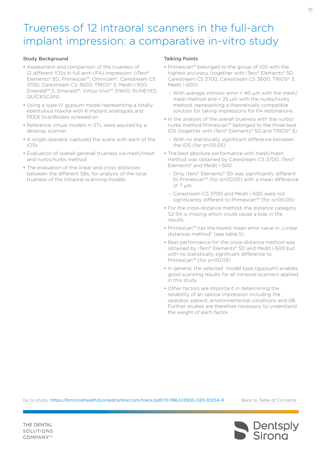# <span id="page-14-0"></span>Trueness of 12 intraoral scanners in the full-arch implant impression: a comparative in-vitro study

#### Study Background

- Assessment and comparison of the trueness of 12 different IOSs in full arch (FA) impression: (iTero® Elements® 5D, Primescan™, Omnicam®, Carestream CS 3700, Carestream CS 3600, TRIOS® 3, Medit i-500, Emerald™ S, Emerald™, Virtuo Vivo™, DWIO, RUNEYES QUICKSCAN)
- Using a type IV gypsum model representing a totally edentulous maxilla with 6 implant analogues and PEEK ScanBodies screwed on
- Reference virtual models in STL were aquired by a desktop scanner
- A single operator captured the scans with each of the IOSs
- Evaluation of overall generall trueness via mesh/mesh and nurbs/nurbs method
- The evaluation of the linear and cross distances between the different SBs, for analysis of the local trueness of the intraoral scanning models

#### Talking Points

- Primescan™ belonged to the group of IOS with the highest accuracy (together with iTero® Elements® 5D, Carestream CS 3700, Carestream CS 3600, TRIOS® 3, Medit i-500)
	- With average intrinsic error < 40 μm with the mesh/ mesh method and < 25 μm with the nurbs/nurbs method, representing a theoretically compatible solution for taking impressions for FA restorations.
- In the analysis of the overall trueness with the nurbs/ nurbs method Primescan™ belonged to the three best IOS (together with iTero® Elements® 5D and TRIOS® 3)
	- With no statistically significant difference between the IOS (for α=00.05)
- The best absolute performance with mesh/mesh method was obtained by Carestream CS 3700, iTero® Elements® and Medit i-500
	- Only iTero® Elements® 5D was significantly different to Primescan™ (for α=00.05) with a mean difference of 7 µm
	- Carestream CS 3700 and Medit i-500 were not significantly different to Primescan™ (for α=00.05)
- For the cross-distance method, the distance category S2-S4 is missing which could cause a bias in the results.
- Primescan™ has the lowest mean error value in "Linear distances method" (see table 5)
- Best performance for the cross-distance method was obtained by iTero® Elements® 5D and Medit i-500 but with no statistically significant difference to Primescan™ (for α=00.05)
- In general, the selected model type (gypsum) enables good scanning results for all intraoral scanners applied in this study
- Other factors are important in determining the reliability of an optical impression including the operator, patient, environnemental conditions and SB. Further studies are therefore necessary to understand the weight of each factor.

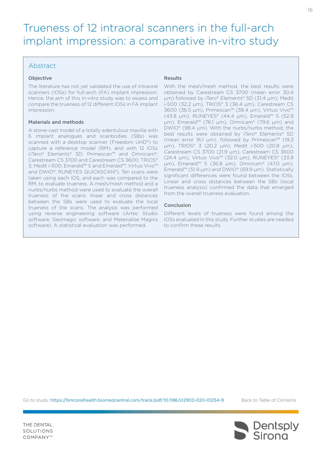# Trueness of 12 intraoral scanners in the full-arch implant impression: a comparative in-vitro study

## Abstract

### Objective

The literature has not yet validated the use of intraoral scanners (IOSs) for full-arch (FA) implant impression. Hence, the aim of this in-vitro study was to assess and compare the trueness of 12 different IOSs in FA implant impression.

#### Materials and methods

A stone-cast model of a totally edentulous maxilla with 6 implant analogues and scanbodies (SBs) was scanned with a desktop scanner (Freedom UHD®) to capture a reference model (RM), and with 12 IOSs (iTero® Elements® 5D; Primescan™ and Omnicam®; Carestream CS 3700 and Carestream CS 3600; TRIOS® 3; Medit i-500; Emerald™ S and Emerald™; Virtuo Vivo™ and DWIO®; RUNEYES QUICKSCAN®). Ten scans were taken using each IOS, and each was compared to the RM, to evaluate trueness. A mesh/mesh method and a nurbs/nurbs method were used to evaluate the overall trueness of the scans; linear and cross distances between the SBs were used to evaluate the local trueness of the scans. The analysis was performed using reverse engineering software (Artec Studio software, Geomagic software, and Materialise Magics software). A statistical evaluation was performed.

#### Results

With the mesh/mesh method, the best results were obtained by Carestream CS 3700 (mean error 30.4 μm) followed by iTero® Elements® 5D (31.4 μm), Medit i-500 (32.2 μm), TRIOS® 3 (36.4 μm), Carestream CS 3600 (36.5 μm), Primescan™ (38.4 μm), Virtuo Vivo™ (43.8 μm), RUNEYES® (44.4 μm), Emerald™ S (52.9 μm), Emerald™ (76.1 μm), Omnicam® (79.6 μm) and DWIO® (98.4 μm). With the nurbs/nurbs method, the best results were obtained by iTero® Elements® 5D (mean error 16.1 μm), followed by Primescan™ (19.3 μm), TRIOS® 3 (20.2 μm), Medit i-500 (20.8 μm), Carestream CS 3700 (21.9 μm), Carestream CS 3600 (24.4 μm), Virtuo Vivo™ (32.0 μm), RUNEYES® (33.9 μm), Emerald™ S (36.8 μm), Omnicam® (47.0 μm), Emerald™ (51.9 μm) and DWIO® (69.9 μm). Statistically significant differences were found between the IOSs. Linear and cross distances between the SBs (local trueness analysis) confirmed the data that emerged from the overall trueness evaluation.

#### Conclusion

Different levels of trueness were found among the IOSs evaluated in this study. Further studies are needed to confirm these results.

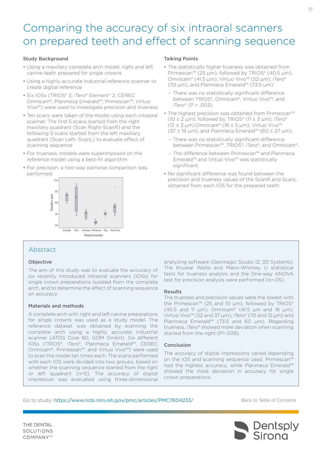# <span id="page-16-0"></span>Comparing the accuracy of six intraoral scanners on prepared teeth and effect of scanning sequence

#### Study Background

- Using a maxillary complete arch model, right and left canine teeth prepared for single crowns
- Using a highly accurate industrial reference scanner to create digital reference
- Six IOSs (TRIOS® 3, iTero® Element® 2, CEREC Omnicam®, Planmeca Emerald™, Primescan™, Virtuo Vivo™) were used to investigate precision and trueness
- Ten scans were taken of the model using each intraoral scanner. The first 5 scans started from the right maxillary quadrant (Scan Right-ScanR) and the following 5 scans started from the left maxillary quadrant (Scan Left- ScanL) to evaluate effect of scanning sequence
- For trueness, models were superimposed on the reference model using a best-fit algorithm
- For precision, a two-way pairwise comparison was performed



# Abstract

#### Objective

The aim of this study was to evaluate the accuracy of six recently introduced intraoral scanners (IOSs) for single crown preparations isolated from the complete arch, and to determine the effect of scanning sequence on accuracy.

#### Materials and methods

A complete arch with right and left canine preparations for single crowns was used as a study model. The reference dataset was obtained by scanning the complete arch using a highly accurate industrial scanner (ATOS Core 80, GOM GmbH). Six different IOSs (TRIOS®, iTero®, Planmeca Emerald™, CEREC Omnicam®, Primescan™, and Virtuo Vivo™) were used to scan the model ten times each. The scans performed with each IOS were divided into two groups, based on whether the scanning sequence started from the right or left quadrant (n=5). The accuracy of digital impression was evaluated using three-dimensional

#### Talking Points

- The statistically higher trueness was obtained from Primescan™ (25 μm), followed by TRIOS® (40.5 μm), Omnicam® (41.5 μm), Virtuo Vivo™ (52 μm), iTero® (70 μm), and Planmeca Emerald™ (73.5 μm)
	- There was no statistically significant difference between TRIOS®, Omnicam®, Virtuo Vivo™, and iTero® (P > .003)
- The highest precision was obtained from Primescan™ (10  $\pm$  2 μm), followed by TRIOS® (11  $\pm$  3 μm), iTero®  $(12 ± 3 μm)$ , Omnicam® (18  $± 5 μm$ ), Virtuo Vivo<sup>™</sup>  $(37 \pm 19 \mu m)$ , and Planmeca Emerald™ (60 ± 27 µm).
	- There was no statistically significant difference between Primescan™, TRIOS®, iTero®, and Omnicam®.
	- The difference between Primescan™ and Planmeca Emerald™ and Virtuo Vivo™ was statistically significant.
- No significant difference was found between the precision and trueness values of the ScanR and ScanL obtained from each IOS for the prepared teeth

analyzing software (Geomagic Studio 12, 3D Systems). The Kruskal Wallis and Mann-Whitney U statistical tests for trueness analysis and the One-way ANOVA test for precision analysis were performed (α=.05).

#### Results

The trueness and precision values were the lowest with the Primescan™ (25 and 10 µm), followed by TRIOS® (40.5 and 11  $\mu$ m), Omnicam® (41.5  $\mu$ m and 18  $\mu$ m), Virtuo Vivo™ (52 and 37 µm), iTero® (70 and 12 µm) and Planmeca Emerald™ (73.5 and 60 µm). Regarding trueness, iTero® showed more deviation when scanning started from the right (P=.009).

#### Conclusion

The accuracy of digital impressions varied depending on the IOS and scanning sequence used. Primescan™ had the highest accuracy, while Planmeca Emerald™ showed the most deviation in accuracy for single crown preparations.

#### Go to study: <https://www.ncbi.nlm.nih.gov/pmc/articles/PMC7604233/>

[Back to Table of Contents](#page-2-0)



17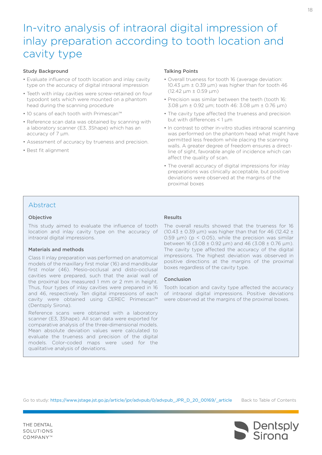# <span id="page-17-0"></span>In-vitro analysis of intraoral digital impression of inlay preparation according to tooth location and cavity type

#### Study Background

- Evaluate influence of tooth location and inlay cavity type on the accuracy of digital intraoral impression
- Teeth with inlay cavities were screw-retained on four typodont sets which were mounted on a phantom head during the scanning procedure
- 10 scans of each tooth with Primescan™
- Reference scan data was obtained by scanning with a laboratory scanner (E3, 3Shape) which has an accuracy of 7 µm.
- Assessment of accuracy by trueness and precision.
- Best fit alignment

#### Talking Points

- Overall trueness for tooth 16 (average deviation: 10.43  $\mu$ m  $\pm$  0.39  $\mu$ m) was higher than for tooth 46  $(12.42 \text{ µm} \pm 0.59 \text{ µm})$
- Precision was similar between the teeth (tooth 16: 3.08 µm ± 0.92 µm; tooth 46: 3.08 µm ± 0.76 µm)
- The cavity type affected the trueness and precision but with differences < 1 µm
- In contrast to other in-vitro studies intraoral scanning was performed on the phantom head what might have permitted less freedom while placing the scanning walls. A greater degree of freedom ensures a directline of sight, favorable angle of incidence which can affect the quality of scan.
- The overall accuracy of digital impressions for inlay preparations was clinically acceptable, but positive deviations were observed at the margins of the proximal boxes

### Abstract

#### **Objective**

This study aimed to evaluate the influence of tooth location and inlay cavity type on the accuracy of intraoral digital impressions.

#### Materials and methods

Class II inlay preparation was performed on anatomical models of the maxillary first molar (16) and mandibular first molar (46). Mesio-occlusal and disto-occlusal cavities were prepared, such that the axial wall of the proximal box measured 1 mm or 2 mm in height. Thus, four types of inlay cavities were prepared in 16 and 46, respectively. Ten digital impressions of each cavity were obtained using CEREC Primescan™ (Dentsply Sirona).

Reference scans were obtained with a laboratory scanner (E3, 3Shape). All scan data were exported for comparative analysis of the three-dimensional models. Mean absolute deviation values were calculated to evaluate the trueness and precision of the digital models. Color-coded maps were used for the qualitative analysis of deviations.

#### Results

The overall results showed that the trueness for 16 (10.43  $\pm$  0.39 µm) was higher than that for 46 (12.42  $\pm$ 0.59  $\mu$ m) (p < 0.05), while the precision was similar between 16 (3.08  $\pm$  0.92 µm) and 46 (3.08  $\pm$  0.76 µm). The cavity type affected the accuracy of the digital impressions. The highest deviation was observed in positive directions at the margins of the proximal boxes regardless of the cavity type.

#### Conclusion

Tooth location and cavity type affected the accuracy of intraoral digital impressions. Positive deviations were observed at the margins of the proximal boxes.

Go to study: [https://www.jstage.jst.go.jp/article/jpr/advpub/0/a](https://www.jstage.jst.go.jp/article/jpr/advpub/0/advpub_JPR_D_20_00169/_article)dvpub\_JPR\_D\_20\_00169/\_article

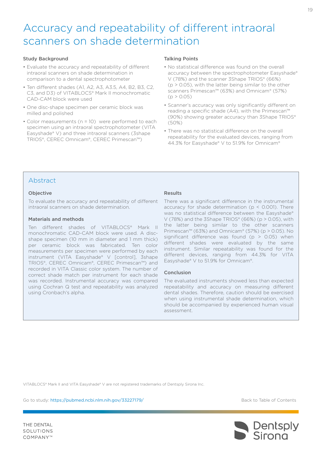# <span id="page-18-0"></span>Accuracy and repeatability of different intraoral scanners on shade determination

#### Study Background

- Evaluate the accuracy and repeatability of different intraoral scanners on shade determination in comparison to a dental spectrophotometer
- Ten different shades (A1, A2, A3, A3.5, A4, B2, B3, C2, C3, and D3) of VITABLOCS® Mark II monochromatic CAD-CAM block were used
- One disc-shape specimen per ceramic block was milled and polished
- Color measurements (n = 10) were performed to each specimen using an intraoral spectrophotometer (VITA Easyshade® V) and three intraoral scanners (3shape TRIOS®, CEREC Omnicam®, CEREC Primescan™)

#### Talking Points

- No statistical difference was found on the overall accuracy between the spectrophotometer Easyshade® V (78%) and the scanner 3Shape TRIOS® (66%)  $(p > 0.05)$ , with the latter being similar to the other scanners Primescan™ (63%) and Omnicam® (57%)  $(p > 0.05)$
- Scanner's accuracy was only significantly different on reading a specific shade (A4), with the Primescan™ (90%) showing greater accuracy than 3Shape TRIOS® (50%)
- There was no statistical difference on the overall repeatability for the evaluated devices, ranging from 44.3% for Easyshade® V to 51.9% for Omnicam®

### Abstract

#### **Objective**

To evaluate the accuracy and repeatability of different intraoral scanners on shade determination.

#### Materials and methods

Ten different shades of VITABLOCS® Mark II monochromatic CAD-CAM block were used. A discshape specimen (10 mm in diameter and 1 mm thick) per ceramic block was fabricated. Ten color measurements per specimen were performed by each instrument (VITA Easyshade® V [control], 3shape TRIOS®, CEREC Omnicam®, CEREC Primescan™) and recorded in VITA Classic color system. The number of correct shade match per instrument for each shade was recorded. Instrumental accuracy was compared using Cochran Q test and repeatability was analyzed using Cronbach's alpha.

#### Results

There was a significant difference in the instrumental accuracy for shade determination ( $p < 0.001$ ). There was no statistical difference between the Easyshade® V (78%) and the 3Shape TRIOS® (66%) ( $p > 0.05$ ), with the latter being similar to the other scanners Primescan™ (63%) and Omnicam® (57%) (p > 0.05). No significant difference was found ( $p > 0.05$ ) when different shades were evaluated by the same instrument. Similar repeatability was found for the different devices, ranging from 44.3% for VITA Easyshade® V to 51.9% for Omnicam®.

#### Conclusion

The evaluated instruments showed less than expected repeatability and accuracy on measuring different dental shades. Therefore, caution should be exercised when using instrumental shade determination, which should be accompanied by experienced human visual assessment.

VITABLOCS® Mark II and VITA Easyshade® V are not registered trademarks of Dentsply Sirona Inc.

Go to study: <https://pubmed.ncbi.nlm.nih.gov/33227179/>

[Back to Table of Contents](#page-2-0)

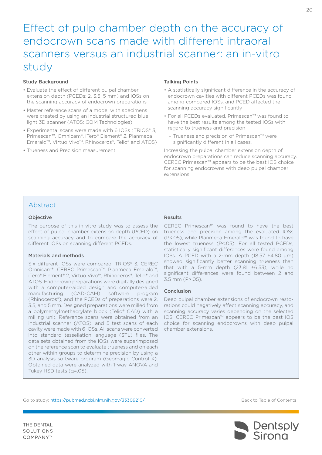# <span id="page-19-0"></span>Effect of pulp chamber depth on the accuracy of endocrown scans made with different intraoral scanners versus an industrial scanner: an in-vitro study

#### Study Background

- Evaluate the effect of different pulpal chamber extension depth (PCEDs; 2, 3.5, 5 mm) and IOSs on the scanning accuracy of endocrown preparations
- Master reference scans of a model with specimens were created by using an industrial structured blue light 3D scanner (ATOS; GOM Technologies)
- Experimental scans were made with 6 IOSs (TRIOS® 3, Primescan™, Omnicam®, iTero® Element® 2, Planmeca Emerald™, Virtuo Vivo™, Rhinoceros®, Telio® and ATOS)
- Trueness and Precision measurement

#### Talking Points

- A statistically significant difference in the accuracy of endocrown cavities with different PCEDs was found among compared IOSs, and PCED affected the scanning accuracy significantly
- For all PCEDs evaluated, Primescan™ was found to have the best results among the tested IOSs with regard to trueness and precision
	- Trueness and precision of Primescan™ were significantly different in all cases.

Increasing the pulpal chamber extension depth of endocrown preparations can reduce scanning accuracy. CEREC Primescan™ appears to be the best IOS choice for scanning endocrowns with deep pulpal chamber extensions.

### Abstract

#### **Objective**

The purpose of this in-vitro study was to assess the effect of pulpal chamber extension depth (PCED) on scanning accuracy and to compare the accuracy of different IOSs on scanning different PCEDs.

#### Materials and methods

Six different IOSs were compared: TRIOS® 3, CEREC Omnicam®, CEREC Primescan™, Planmeca Emerald™, iTero® Element® 2, Virtuo Vivo™, Rhinoceros®, Telio® and ATOS. Endocrown preparations were digitally designed with a computer-aided design and computer-aided manufacturing (CAD-CAM) software program (Rhinoceros®), and the PCEDs of preparations were 2, 3.5, and 5 mm. Designed preparations were milled from a polymethylmethacrylate block (Telio® CAD) with a milling unit. Reference scans were obtained from an industrial scanner (ATOS), and 5 test scans of each cavity were made with 6 IOSs. All scans were converted into standard tessellation language (STL) files. The data sets obtained from the IOSs were superimposed on the reference scan to evaluate trueness and on each other within groups to determine precision by using a 3D analysis software program (Geomagic Control X). Obtained data were analyzed with 1-way ANOVA and Tukey HSD tests (α=.05).

### Results

CEREC Primescan™ was found to have the best trueness and precision among the evaluated IOSs (P<.05), while Planmeca Emerald™ was found to have the lowest trueness (P<.05). For all tested PCEDs, statistically significant differences were found among IOSs. A PCED with a 2-mm depth (18.57 ±4.80 μm) showed significantly better scanning trueness than that with a 5-mm depth (23.81  $\pm$ 6.53), while no significant differences were found between 2 and 3.5 mm (P>.05).

#### Conclusion

Deep pulpal chamber extensions of endocrown restorations could negatively affect scanning accuracy, and scanning accuracy varies depending on the selected IOS. CEREC Primescan™ appears to be the best IOS choice for scanning endocrowns with deep pulpal chamber extensions.

Go to study: <https://pubmed.ncbi.nlm.nih.gov/33309210/>

[Back to Table of Contents](#page-2-0)

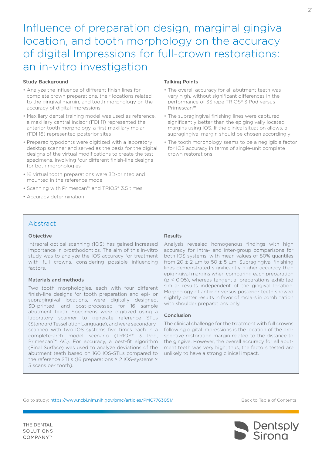# <span id="page-20-0"></span>Influence of preparation design, marginal gingiva location, and tooth morphology on the accuracy of digital Impressions for full-crown restorations: an in-vitro investigation

#### Study Background

- Analyze the influence of different finish lines for complete crown preparations, their locations related to the gingival margin, and tooth morphology on the accuracy of digital impressions
- Maxillary dental training model was used as reference, a maxillary central incisor (FDI 11) represented the anterior tooth morphology, a first maxillary molar (FDI 16) represented posterior sites
- Prepared typodonts were digitized with a laboratory desktop scanner and served as the basis for the digital designs of the virtual modifications to create the test specimens, involving four different finish-line designs for both morphologies
- 16 virtual tooth preparations were 3D-printed and mounted in the reference model
- Scanning with Primescan™ and TRIOS® 3.5 times
- Accuracy determination

#### Talking Points

- The overall accuracy for all abutment teeth was very high, without significant differences in the performance of 3Shape TRIOS® 3 Pod versus Primescan™
- The supragingival finishing lines were captured significantly better than the epigingivally located margins using IOS. If the clinical situation allows, a supragingival margin should be chosen accordingly
- The tooth morphology seems to be a negligible factor for IOS accuracy in terms of single-unit complete crown restorations

### Abstract

#### Objective

Intraoral optical scanning (IOS) has gained increased importance in prosthodontics. The aim of this in-vitro study was to analyze the IOS accuracy for treatment with full crowns, considering possible influencing factors.

#### Materials and methods

Two tooth morphologies, each with four different finish-line designs for tooth preparation and epi- or supragingival locations, were digitally designed, 3D-printed, and post-processed for 16 sample abutment teeth. Specimens were digitized using a laboratory scanner to generate reference STLs (Standard Tessellation Language), and were secondaryscanned with two IOS systems five times each in a complete-arch model scenario (TRIOS® 3 Pod, Primescan™ AC). For accuracy, a best-fit algorithm (Final Surface) was used to analyze deviations of the abutment teeth based on 160 IOS-STLs compared to the reference STLs (16 preparations × 2 IOS-systems × 5 scans per tooth).

#### Results

Analysis revealed homogenous findings with high accuracy for intra- and inter-group comparisons for both IOS systems, with mean values of 80% quantiles from  $20 \pm 2$  μm to  $50 \pm 5$  μm. Supragingival finishing lines demonstrated significantly higher accuracy than epigingival margins when comparing each preparation (p < 0.05), whereas tangential preparations exhibited similar results independent of the gingival location. Morphology of anterior versus posterior teeth showed slightly better results in favor of molars in combination with shoulder preparations only.

#### Conclusion

The clinical challenge for the treatment with full crowns following digital impressions is the location of the prospective restoration margin related to the distance to the gingiva. However, the overall accuracy for all abutment teeth was very high; thus, the factors tested are unlikely to have a strong clinical impact.

Go to study: [https://www.ncbi.nlm.nih.gov/pmc/articles/PMC7763051](https://www.ncbi.nlm.nih.gov/pmc/articles/PMC7763051/)/